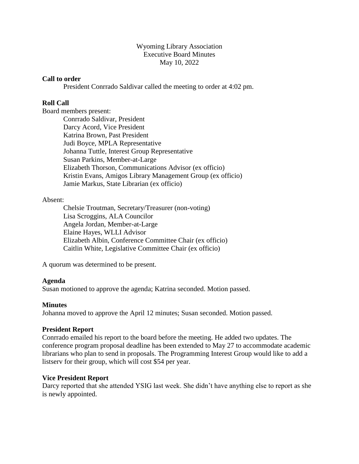Wyoming Library Association Executive Board Minutes May 10, 2022

#### **Call to order**

President Conrrado Saldivar called the meeting to order at 4:02 pm.

# **Roll Call**

Board members present:

Conrrado Saldivar, President Darcy Acord, Vice President Katrina Brown, Past President Judi Boyce, MPLA Representative Johanna Tuttle, Interest Group Representative Susan Parkins, Member-at-Large Elizabeth Thorson, Communications Advisor (ex officio) Kristin Evans, Amigos Library Management Group (ex officio) Jamie Markus, State Librarian (ex officio)

# Absent:

Chelsie Troutman, Secretary/Treasurer (non-voting) Lisa Scroggins, ALA Councilor Angela Jordan, Member-at-Large Elaine Hayes, WLLI Advisor Elizabeth Albin, Conference Committee Chair (ex officio) Caitlin White, Legislative Committee Chair (ex officio)

A quorum was determined to be present.

# **Agenda**

Susan motioned to approve the agenda; Katrina seconded. Motion passed.

# **Minutes**

Johanna moved to approve the April 12 minutes; Susan seconded. Motion passed.

# **President Report**

Conrrado emailed his report to the board before the meeting. He added two updates. The conference program proposal deadline has been extended to May 27 to accommodate academic librarians who plan to send in proposals. The Programming Interest Group would like to add a listserv for their group, which will cost \$54 per year.

# **Vice President Report**

Darcy reported that she attended YSIG last week. She didn't have anything else to report as she is newly appointed.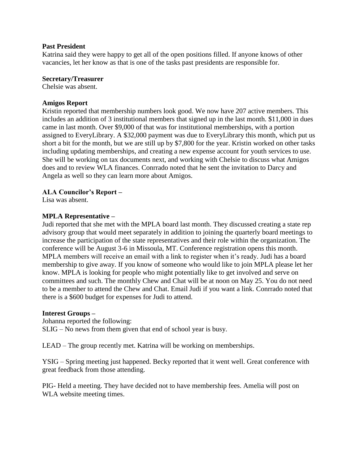# **Past President**

Katrina said they were happy to get all of the open positions filled. If anyone knows of other vacancies, let her know as that is one of the tasks past presidents are responsible for.

#### **Secretary/Treasurer**

Chelsie was absent.

# **Amigos Report**

Kristin reported that membership numbers look good. We now have 207 active members. This includes an addition of 3 institutional members that signed up in the last month. \$11,000 in dues came in last month. Over \$9,000 of that was for institutional memberships, with a portion assigned to EveryLibrary. A \$32,000 payment was due to EveryLibrary this month, which put us short a bit for the month, but we are still up by \$7,800 for the year. Kristin worked on other tasks including updating memberships, and creating a new expense account for youth services to use. She will be working on tax documents next, and working with Chelsie to discuss what Amigos does and to review WLA finances. Conrrado noted that he sent the invitation to Darcy and Angela as well so they can learn more about Amigos.

# **ALA Councilor's Report –**

Lisa was absent.

# **MPLA Representative –**

Judi reported that she met with the MPLA board last month. They discussed creating a state rep advisory group that would meet separately in addition to joining the quarterly board meetings to increase the participation of the state representatives and their role within the organization. The conference will be August 3-6 in Missoula, MT. Conference registration opens this month. MPLA members will receive an email with a link to register when it's ready. Judi has a board membership to give away. If you know of someone who would like to join MPLA please let her know. MPLA is looking for people who might potentially like to get involved and serve on committees and such. The monthly Chew and Chat will be at noon on May 25. You do not need to be a member to attend the Chew and Chat. Email Judi if you want a link. Conrrado noted that there is a \$600 budget for expenses for Judi to attend.

# **Interest Groups –**

Johanna reported the following: SLIG – No news from them given that end of school year is busy.

LEAD – The group recently met. Katrina will be working on memberships.

YSIG – Spring meeting just happened. Becky reported that it went well. Great conference with great feedback from those attending.

PIG- Held a meeting. They have decided not to have membership fees. Amelia will post on WLA website meeting times.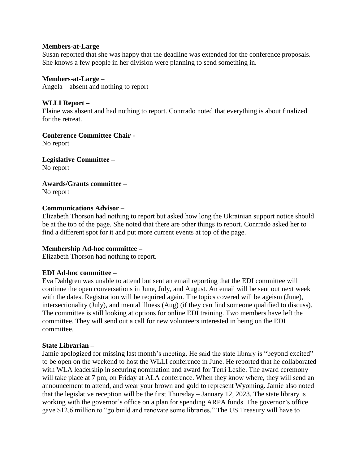#### **Members-at-Large –**

Susan reported that she was happy that the deadline was extended for the conference proposals. She knows a few people in her division were planning to send something in.

**Members-at-Large –** Angela – absent and nothing to report

**WLLI Report –** Elaine was absent and had nothing to report. Conrrado noted that everything is about finalized for the retreat.

**Conference Committee Chair -**

No report

**Legislative Committee –** No report

**Awards/Grants committee –**

No report

# **Communications Advisor –**

Elizabeth Thorson had nothing to report but asked how long the Ukrainian support notice should be at the top of the page. She noted that there are other things to report. Conrrado asked her to find a different spot for it and put more current events at top of the page.

# **Membership Ad-hoc committee –**

Elizabeth Thorson had nothing to report.

# **EDI Ad-hoc committee –**

Eva Dahlgren was unable to attend but sent an email reporting that the EDI committee will continue the open conversations in June, July, and August. An email will be sent out next week with the dates. Registration will be required again. The topics covered will be ageism (June), intersectionality (July), and mental illness (Aug) (if they can find someone qualified to discuss). The committee is still looking at options for online EDI training. Two members have left the committee. They will send out a call for new volunteers interested in being on the EDI committee.

# **State Librarian –**

Jamie apologized for missing last month's meeting. He said the state library is "beyond excited" to be open on the weekend to host the WLLI conference in June. He reported that he collaborated with WLA leadership in securing nomination and award for Terri Leslie. The award ceremony will take place at 7 pm, on Friday at ALA conference. When they know where, they will send an announcement to attend, and wear your brown and gold to represent Wyoming. Jamie also noted that the legislative reception will be the first Thursday – January 12, 2023. The state library is working with the governor's office on a plan for spending ARPA funds. The governor's office gave \$12.6 million to "go build and renovate some libraries." The US Treasury will have to